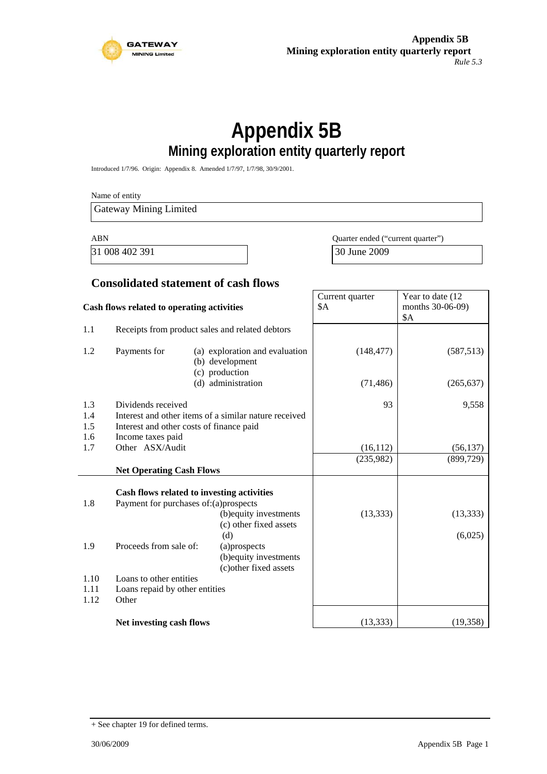

# **Appendix 5B Mining exploration entity quarterly report**

Introduced 1/7/96. Origin: Appendix 8. Amended 1/7/97, 1/7/98, 30/9/2001.

Name of entity Gateway Mining Limited ABN Quarter ended ("current quarter") 31 008 402 391 30 June 2009 **Consolidated statement of cash flows** Current quarter Year to date (12

| Cash flows related to operating activities |                                                                    | Current quarter<br>\$Α                                                                                | Year to date (12)<br>months 30-06-09)<br>\$A |                      |
|--------------------------------------------|--------------------------------------------------------------------|-------------------------------------------------------------------------------------------------------|----------------------------------------------|----------------------|
| 1.1                                        | Receipts from product sales and related debtors                    |                                                                                                       |                                              |                      |
| 1.2                                        | Payments for                                                       | (a) exploration and evaluation<br>(b) development<br>(c) production                                   | (148, 477)                                   | (587, 513)           |
|                                            |                                                                    | (d) administration                                                                                    | (71, 486)                                    | (265, 637)           |
| 1.3                                        | Dividends received                                                 |                                                                                                       | 93                                           | 9,558                |
| 1.4<br>1.5<br>1.6                          | Interest and other costs of finance paid<br>Income taxes paid      | Interest and other items of a similar nature received                                                 |                                              |                      |
| 1.7                                        | Other ASX/Audit                                                    |                                                                                                       | (16, 112)                                    | (56, 137)            |
|                                            | <b>Net Operating Cash Flows</b>                                    |                                                                                                       | (235,982)                                    | (899, 729)           |
| 1.8                                        | Payment for purchases of: (a) prospects                            | Cash flows related to investing activities<br>(b) equity investments<br>(c) other fixed assets<br>(d) | (13, 333)                                    | (13, 333)<br>(6,025) |
| 1.9                                        | Proceeds from sale of:                                             | (a)prospects<br>(b) equity investments<br>(c) other fixed assets                                      |                                              |                      |
| 1.10<br>1.11<br>1.12                       | Loans to other entities<br>Loans repaid by other entities<br>Other |                                                                                                       |                                              |                      |
|                                            | Net investing cash flows                                           |                                                                                                       | (13, 333)                                    | (19,358)             |

<sup>+</sup> See chapter 19 for defined terms.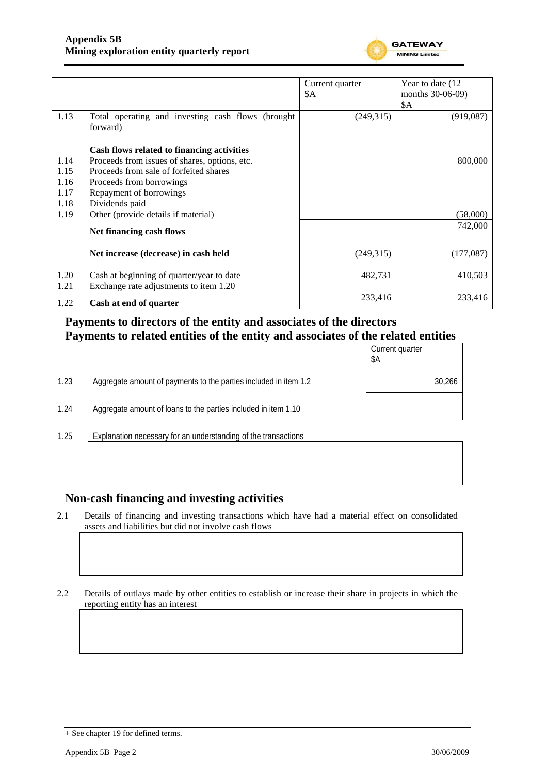

|              |                                                                                     | Current quarter | Year to date (12)              |
|--------------|-------------------------------------------------------------------------------------|-----------------|--------------------------------|
|              |                                                                                     | \$A             | months 30-06-09)<br><b>\$A</b> |
| 1.13         | Total operating and investing cash flows (brought<br>forward)                       | (249,315)       | (919, 087)                     |
|              | Cash flows related to financing activities                                          |                 |                                |
| 1.14         | Proceeds from issues of shares, options, etc.                                       |                 | 800,000                        |
| 1.15         | Proceeds from sale of forfeited shares                                              |                 |                                |
| 1.16         | Proceeds from borrowings                                                            |                 |                                |
| 1.17         | Repayment of borrowings                                                             |                 |                                |
| 1.18         | Dividends paid                                                                      |                 |                                |
| 1.19         | Other (provide details if material)                                                 |                 | (58,000)                       |
|              | Net financing cash flows                                                            |                 | 742,000                        |
|              |                                                                                     |                 |                                |
|              | Net increase (decrease) in cash held                                                | (249,315)       | (177,087)                      |
| 1.20<br>1.21 | Cash at beginning of quarter/year to date<br>Exchange rate adjustments to item 1.20 | 482,731         | 410,503                        |
| 1.22         | Cash at end of quarter                                                              | 233,416         | 233,416                        |

### **Payments to directors of the entity and associates of the directors Payments to related entities of the entity and associates of the related entities**

|      |                                                                  | Current quarter<br>\$A |
|------|------------------------------------------------------------------|------------------------|
| 1.23 | Aggregate amount of payments to the parties included in item 1.2 | 30,266                 |
| 1.24 | Aggregate amount of loans to the parties included in item 1.10   |                        |
|      |                                                                  |                        |

1.25 Explanation necessary for an understanding of the transactions

#### **Non-cash financing and investing activities**

2.1 Details of financing and investing transactions which have had a material effect on consolidated assets and liabilities but did not involve cash flows

2.2 Details of outlays made by other entities to establish or increase their share in projects in which the reporting entity has an interest

<sup>+</sup> See chapter 19 for defined terms.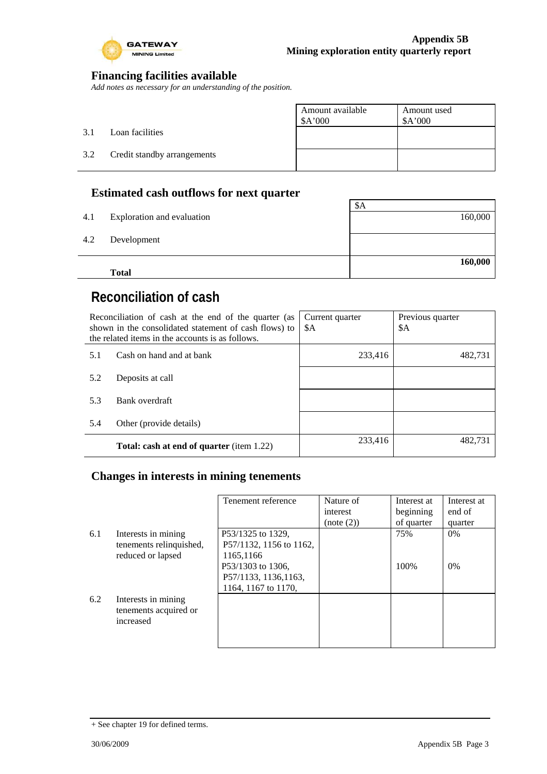

### **Financing facilities available**

*Add notes as necessary for an understanding of the position.* 

|     |                             | Amount available<br>\$A'000 | Amount used<br>\$A'000 |
|-----|-----------------------------|-----------------------------|------------------------|
| 3.1 | Loan facilities             |                             |                        |
| 3.2 | Credit standby arrangements |                             |                        |
|     |                             |                             |                        |

### **Estimated cash outflows for next quarter**

|     |                            | \$A     |
|-----|----------------------------|---------|
| 4.1 | Exploration and evaluation | 160,000 |
|     |                            |         |
| 4.2 | Development                |         |
|     |                            |         |
|     |                            | 160,000 |
|     | <b>Total</b>               |         |

# **Reconciliation of cash**

| Reconciliation of cash at the end of the quarter (as<br>shown in the consolidated statement of cash flows) to<br>the related items in the accounts is as follows. |                                                  | Current quarter<br>\$A | Previous quarter<br>\$A |
|-------------------------------------------------------------------------------------------------------------------------------------------------------------------|--------------------------------------------------|------------------------|-------------------------|
| 5.1                                                                                                                                                               | Cash on hand and at bank                         | 233,416                | 482,731                 |
| 5.2                                                                                                                                                               | Deposits at call                                 |                        |                         |
| 5.3                                                                                                                                                               | Bank overdraft                                   |                        |                         |
| 5.4                                                                                                                                                               | Other (provide details)                          |                        |                         |
|                                                                                                                                                                   | <b>Total: cash at end of quarter</b> (item 1.22) | 233,416                | 482.731                 |

### **Changes in interests in mining tenements**

|     |                                                                     | Tenement reference                                                                                                             | Nature of<br>interest<br>(note (2)) | Interest at<br>beginning<br>of quarter | Interest at<br>end of<br>quarter |
|-----|---------------------------------------------------------------------|--------------------------------------------------------------------------------------------------------------------------------|-------------------------------------|----------------------------------------|----------------------------------|
| 6.1 | Interests in mining<br>tenements relinquished,<br>reduced or lapsed | P53/1325 to 1329.<br>P57/1132, 1156 to 1162,<br>1165,1166<br>P53/1303 to 1306,<br>P57/1133, 1136, 1163,<br>1164, 1167 to 1170, |                                     | 75%<br>100\%                           | $0\%$<br>$0\%$                   |
| 6.2 | Interests in mining<br>tenements acquired or<br>increased           |                                                                                                                                |                                     |                                        |                                  |

<sup>+</sup> See chapter 19 for defined terms.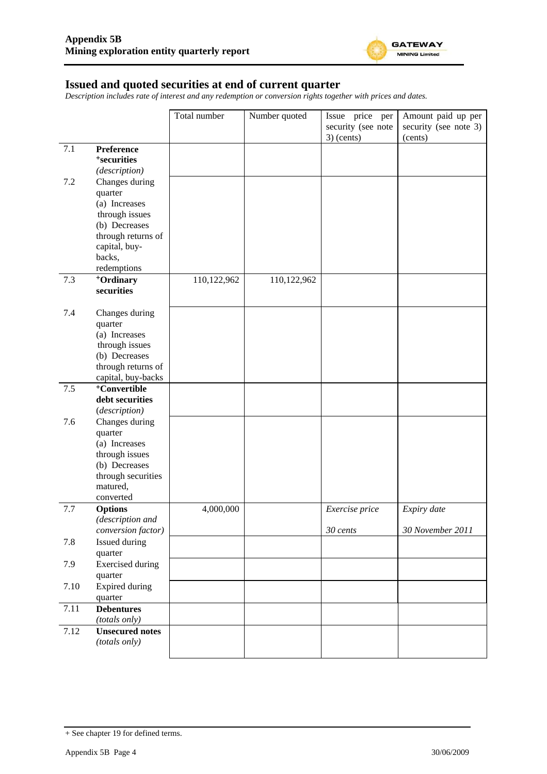

#### **Issued and quoted securities at end of current quarter**

*Description includes rate of interest and any redemption or conversion rights together with prices and dates.* 

|      |                                     | Total number | Number quoted | Issue price per    | Amount paid up per    |
|------|-------------------------------------|--------------|---------------|--------------------|-----------------------|
|      |                                     |              |               | security (see note | security (see note 3) |
|      |                                     |              |               | $3)$ (cents)       | (cents)               |
| 7.1  | Preference                          |              |               |                    |                       |
|      | <sup>+</sup> securities             |              |               |                    |                       |
|      | (description)                       |              |               |                    |                       |
| 7.2  | Changes during                      |              |               |                    |                       |
|      | quarter                             |              |               |                    |                       |
|      | (a) Increases                       |              |               |                    |                       |
|      | through issues                      |              |               |                    |                       |
|      | (b) Decreases                       |              |               |                    |                       |
|      | through returns of                  |              |               |                    |                       |
|      | capital, buy-                       |              |               |                    |                       |
|      | backs,                              |              |               |                    |                       |
|      | redemptions                         |              |               |                    |                       |
| 7.3  | <sup>+</sup> Ordinary               | 110,122,962  | 110,122,962   |                    |                       |
|      | securities                          |              |               |                    |                       |
|      |                                     |              |               |                    |                       |
| 7.4  | Changes during                      |              |               |                    |                       |
|      | quarter                             |              |               |                    |                       |
|      | (a) Increases                       |              |               |                    |                       |
|      | through issues                      |              |               |                    |                       |
|      | (b) Decreases<br>through returns of |              |               |                    |                       |
|      | capital, buy-backs                  |              |               |                    |                       |
| 7.5  | <sup>+</sup> Convertible            |              |               |                    |                       |
|      | debt securities                     |              |               |                    |                       |
|      | (description)                       |              |               |                    |                       |
| 7.6  | Changes during                      |              |               |                    |                       |
|      | quarter                             |              |               |                    |                       |
|      | (a) Increases                       |              |               |                    |                       |
|      | through issues                      |              |               |                    |                       |
|      | (b) Decreases                       |              |               |                    |                       |
|      | through securities                  |              |               |                    |                       |
|      | matured,                            |              |               |                    |                       |
|      | converted                           |              |               |                    |                       |
| 7.7  | <b>Options</b>                      | 4,000,000    |               | Exercise price     | Expiry date           |
|      | (description and                    |              |               |                    |                       |
|      | conversion factor)                  |              |               | 30 cents           | 30 November 2011      |
| 7.8  | Issued during                       |              |               |                    |                       |
|      | quarter                             |              |               |                    |                       |
| 7.9  | <b>Exercised</b> during             |              |               |                    |                       |
|      | quarter                             |              |               |                    |                       |
| 7.10 | Expired during                      |              |               |                    |                       |
| 7.11 | quarter                             |              |               |                    |                       |
|      | <b>Debentures</b><br>(totals only)  |              |               |                    |                       |
| 7.12 | <b>Unsecured notes</b>              |              |               |                    |                       |
|      | (totals only)                       |              |               |                    |                       |
|      |                                     |              |               |                    |                       |

<sup>+</sup> See chapter 19 for defined terms.